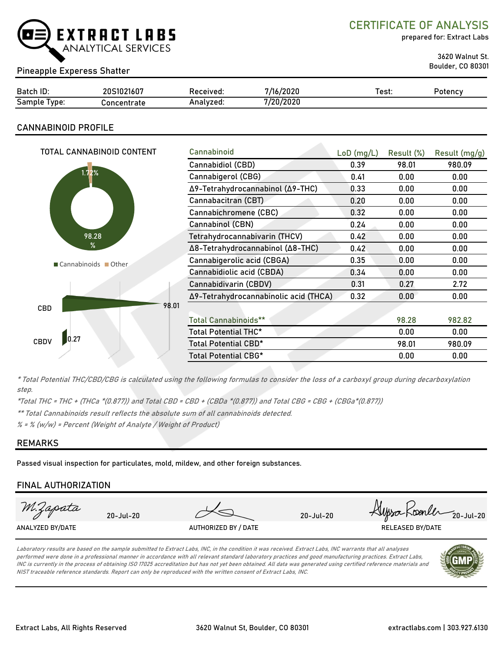

CERTIFICATE OF ANALYSIS

prepared for: Extract Labs

3620 Walnut St.

## Boulder, CO 80301 Pineapple Experess Shatter

| Batch ID:       | 20S1021607  | Received: | 7/16/2020 | Test. | Potency |
|-----------------|-------------|-----------|-----------|-------|---------|
| Sample<br>lype: | Concentrate | Analyzed. | 7/20/2020 |       |         |

## CANNABINOID PROFILE

| Cannabinoid                      |       |                                                       | Result (mg/g) |
|----------------------------------|-------|-------------------------------------------------------|---------------|
| Cannabidiol (CBD)                | 0.39  | 98.01                                                 | 980.09        |
| Cannabigerol (CBG)               | 0.41  | 0.00                                                  | 0.00          |
| Δ9-Tetrahydrocannabinol (Δ9-THC) | 0.33  | 0.00                                                  | 0.00          |
| Cannabacitran (CBT)              | 0.20  | 0.00                                                  | 0.00          |
| Cannabichromene (CBC)            | 0.32  | 0.00                                                  | 0.00          |
| Cannabinol (CBN)                 | 0.24  | 0.00                                                  | 0.00          |
| Tetrahydrocannabivarin (THCV)    | 0.42  | 0.00                                                  | 0.00          |
| Δ8-Tetrahydrocannabinol (Δ8-THC) | 0.42  | 0.00                                                  | 0.00          |
| Cannabigerolic acid (CBGA)       | 0.35  | 0.00                                                  | 0.00          |
| Cannabidiolic acid (CBDA)        | 0.34  | 0.00                                                  | 0.00          |
| Cannabidivarin (CBDV)            | 0.31  | 0.27                                                  | 2.72          |
|                                  | 0.32  | 0.00                                                  | 0.00          |
|                                  |       |                                                       |               |
| <b>Total Cannabinoids**</b>      |       | 98.28                                                 | 982.82        |
| Total Potential THC*             |       | 0.00                                                  | 0.00          |
| Total Potential CBD*             |       | 98.01                                                 | 980.09        |
| Total Potential CBG*             |       | 0.00                                                  | 0.00          |
|                                  | 98.01 | $LoD$ (mg/L)<br>Δ9-Tetrahydrocannabinolic acid (THCA) | Result (%)    |

\* Total Potential THC/CBD/CBG is calculated using the following formulas to consider the loss of a carboxyl group during decarboxylation step.

\*Total THC = THC + (THCa \*(0.877)) and Total CBD = CBD + (CBDa \*(0.877)) and Total CBG = CBG + (CBGa\*(0.877))

\*\* Total Cannabinoids result reflects the absolute sum of all cannabinoids detected.

 $% =$  % (w/w) = Percent (Weight of Analyte / Weight of Product)

## REMARKS

Passed visual inspection for particulates, mold, mildew, and other foreign substances.

## FINAL AUTHORIZATION



Laboratory results are based on the sample submitted to Extract Labs, INC, in the condition it was received. Extract Labs, INC warrants that all analyses performed were done in a professional manner in accordance with all relevant standard laboratory practices and good manufacturing practices. Extract Labs, INC is currently in the process of obtaining ISO 17025 accreditation but has not yet been obtained. All data was generated using certified reference materials and NIST traceable reference standards. Report can only be reproduced with the written consent of Extract Labs, INC.

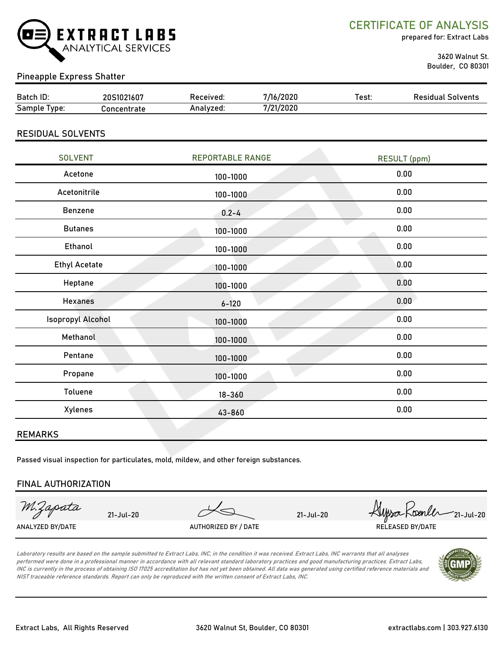

CERTIFICATE OF ANALYSIS

prepared for: Extract Labs

 3620 Walnut St. Boulder, CO 80301

## Pineapple Express Shatter

| Batch ID:      | $\sqrt{2}$<br>∍חר<br>5 I I<br>ZI6U. | Received: | /2020<br>,,, | Test. | Residual<br>Solvents |
|----------------|-------------------------------------|-----------|--------------|-------|----------------------|
| Sample<br>vpe: | `oncentrate                         | \nalvzed. | /21/2020     |       |                      |

## RESIDUAL SOLVENTS

| <b>SOLVENT</b>       | <b>REPORTABLE RANGE</b> | <b>RESULT (ppm)</b> |
|----------------------|-------------------------|---------------------|
| Acetone              | 100-1000                | 0.00                |
| Acetonitrile         | 100-1000                | 0.00                |
| Benzene              | $0.2 - 4$               | 0.00                |
| <b>Butanes</b>       | 100-1000                | 0.00                |
| Ethanol              | 100-1000                | 0.00                |
| <b>Ethyl Acetate</b> | 100-1000                | 0.00                |
| Heptane              | 100-1000                | 0.00                |
| <b>Hexanes</b>       | $6 - 120$               | 0.00                |
| Isopropyl Alcohol    | 100-1000                | 0.00                |
| Methanol             | 100-1000                | 0.00                |
| Pentane              | 100-1000                | 0.00                |
| Propane              | 100-1000                | 0.00                |
| Toluene              | $18 - 360$              | 0.00                |
| Xylenes              | 43-860                  | 0.00                |
|                      |                         |                     |

### REMARKS

Passed visual inspection for particulates, mold, mildew, and other foreign substances.

### FINAL AUTHORIZATION

M.Zapata

ANALYZED BY/DATE AUTHORIZED BY / DATE AUTHORIZED BY / DATE RELEASED BY/DATE

21-Jul-20 21-Jul-20  $\frac{1}{21}$  21-Jul-20  $\frac{1}{21}$ 

Laboratory results are based on the sample submitted to Extract Labs, INC, in the condition it was received. Extract Labs, INC warrants that all analyses performed were done in a professional manner in accordance with all relevant standard laboratory practices and good manufacturing practices. Extract Labs, INC is currently in the process of obtaining ISO 17025 accreditation but has not yet been obtained. All data was generated using certified reference materials and NIST traceable reference standards. Report can only be reproduced with the written consent of Extract Labs, INC.